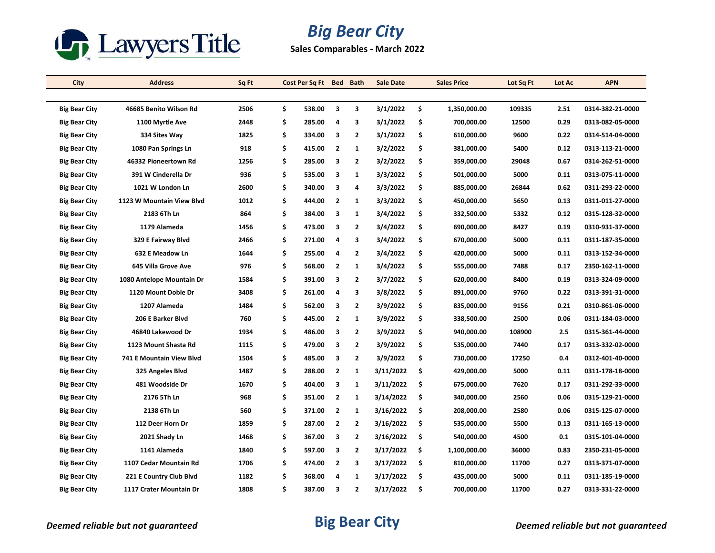

## *Big Bear City*

**Sales Comparables - March 2022**

| City                 | <b>Address</b>            | Sq Ft |     | Cost Per Sq Ft Bed Bath |                |                         | <b>Sale Date</b> |     | <b>Sales Price</b> | Lot Sq Ft | Lot Ac | <b>APN</b>       |
|----------------------|---------------------------|-------|-----|-------------------------|----------------|-------------------------|------------------|-----|--------------------|-----------|--------|------------------|
|                      |                           |       |     |                         |                |                         |                  |     |                    |           |        |                  |
| <b>Big Bear City</b> | 46685 Benito Wilson Rd    | 2506  | \$. | 538.00                  | 3              | 3                       | 3/1/2022         | \$  | 1,350,000.00       | 109335    | 2.51   | 0314-382-21-0000 |
| <b>Big Bear City</b> | 1100 Myrtle Ave           | 2448  | \$  | 285.00                  | 4              | 3                       | 3/1/2022         | \$  | 700,000.00         | 12500     | 0.29   | 0313-082-05-0000 |
| <b>Big Bear City</b> | 334 Sites Way             | 1825  | \$  | 334.00                  | 3              | $\overline{2}$          | 3/1/2022         | \$  | 610,000.00         | 9600      | 0.22   | 0314-514-04-0000 |
| <b>Big Bear City</b> | 1080 Pan Springs Ln       | 918   | \$  | 415.00                  | $\overline{2}$ | 1                       | 3/2/2022         | \$  | 381,000.00         | 5400      | 0.12   | 0313-113-21-0000 |
| <b>Big Bear City</b> | 46332 Pioneertown Rd      | 1256  | \$  | 285.00                  | 3              | $\mathbf{2}$            | 3/2/2022         | \$  | 359,000.00         | 29048     | 0.67   | 0314-262-51-0000 |
| <b>Big Bear City</b> | 391 W Cinderella Dr       | 936   | \$  | 535.00                  | 3              | 1                       | 3/3/2022         | \$  | 501,000.00         | 5000      | 0.11   | 0313-075-11-0000 |
| <b>Big Bear City</b> | 1021 W London Ln          | 2600  | Ś   | 340.00                  | 3              | 4                       | 3/3/2022         | \$  | 885,000.00         | 26844     | 0.62   | 0311-293-22-0000 |
| <b>Big Bear City</b> | 1123 W Mountain View Blvd | 1012  | \$  | 444.00                  | $\overline{2}$ | 1                       | 3/3/2022         | \$  | 450,000.00         | 5650      | 0.13   | 0311-011-27-0000 |
| <b>Big Bear City</b> | 2183 6Th Ln               | 864   | \$  | 384.00                  | 3              | 1                       | 3/4/2022         | \$  | 332,500.00         | 5332      | 0.12   | 0315-128-32-0000 |
| <b>Big Bear City</b> | 1179 Alameda              | 1456  | \$  | 473.00                  | 3              | $\overline{2}$          | 3/4/2022         | \$  | 690,000.00         | 8427      | 0.19   | 0310-931-37-0000 |
| <b>Big Bear City</b> | 329 E Fairway Blvd        | 2466  | \$  | 271.00                  | 4              | 3                       | 3/4/2022         | \$  | 670,000.00         | 5000      | 0.11   | 0311-187-35-0000 |
| Big Bear City        | 632 E Meadow Ln           | 1644  | \$  | 255.00                  | 4              | $\overline{\mathbf{2}}$ | 3/4/2022         | \$  | 420,000.00         | 5000      | 0.11   | 0313-152-34-0000 |
| Big Bear City        | 645 Villa Grove Ave       | 976   | \$  | 568.00                  | 2              | $\mathbf{1}$            | 3/4/2022         | \$  | 555,000.00         | 7488      | 0.17   | 2350-162-11-0000 |
| <b>Big Bear City</b> | 1080 Antelope Mountain Dr | 1584  | \$  | 391.00                  | 3              | $\overline{2}$          | 3/7/2022         | \$  | 620,000.00         | 8400      | 0.19   | 0313-324-09-0000 |
| Big Bear City        | 1120 Mount Doble Dr       | 3408  | \$  | 261.00                  | 4              | 3                       | 3/8/2022         | \$  | 891,000.00         | 9760      | 0.22   | 0313-391-31-0000 |
| Big Bear City        | 1207 Alameda              | 1484  | \$  | 562.00                  | 3              | $\overline{\mathbf{2}}$ | 3/9/2022         | \$  | 835,000.00         | 9156      | 0.21   | 0310-861-06-0000 |
| <b>Big Bear City</b> | 206 E Barker Blvd         | 760   | \$  | 445.00                  | $\overline{2}$ | 1                       | 3/9/2022         | \$  | 338,500.00         | 2500      | 0.06   | 0311-184-03-0000 |
| <b>Big Bear City</b> | 46840 Lakewood Dr         | 1934  | \$  | 486.00                  | 3              | $\overline{2}$          | 3/9/2022         | \$  | 940,000.00         | 108900    | 2.5    | 0315-361-44-0000 |
| Big Bear City        | 1123 Mount Shasta Rd      | 1115  | Ś   | 479.00                  | 3              | $\overline{2}$          | 3/9/2022         | \$  | 535,000.00         | 7440      | 0.17   | 0313-332-02-0000 |
| <b>Big Bear City</b> | 741 E Mountain View Blvd  | 1504  | \$  | 485.00                  | 3              | 2                       | 3/9/2022         | \$  | 730,000.00         | 17250     | 0.4    | 0312-401-40-0000 |
| <b>Big Bear City</b> | 325 Angeles Blvd          | 1487  | \$  | 288.00                  | $\overline{2}$ | 1                       | 3/11/2022        | \$. | 429,000.00         | 5000      | 0.11   | 0311-178-18-0000 |
| <b>Big Bear City</b> | 481 Woodside Dr           | 1670  | \$  | 404.00                  | 3              | $\mathbf{1}$            | 3/11/2022        | -\$ | 675,000.00         | 7620      | 0.17   | 0311-292-33-0000 |
| <b>Big Bear City</b> | 2176 5Th Ln               | 968   | \$  | 351.00                  | $\overline{2}$ | 1                       | 3/14/2022        | \$  | 340,000.00         | 2560      | 0.06   | 0315-129-21-0000 |
| <b>Big Bear City</b> | 2138 6Th Ln               | 560   | \$  | 371.00                  | 2              | 1                       | 3/16/2022        | \$. | 208,000.00         | 2580      | 0.06   | 0315-125-07-0000 |
| <b>Big Bear City</b> | 112 Deer Horn Dr          | 1859  | \$  | 287.00                  | $\mathbf{2}$   | $\overline{2}$          | 3/16/2022        | -\$ | 535,000.00         | 5500      | 0.13   | 0311-165-13-0000 |
| <b>Big Bear City</b> | 2021 Shady Ln             | 1468  | \$  | 367.00                  | 3              | $\overline{\mathbf{2}}$ | 3/16/2022        | \$  | 540,000.00         | 4500      | 0.1    | 0315-101-04-0000 |
| <b>Big Bear City</b> | 1141 Alameda              | 1840  | \$  | 597.00                  | 3              | $\overline{2}$          | 3/17/2022        | -\$ | 1,100,000.00       | 36000     | 0.83   | 2350-231-05-0000 |
| <b>Big Bear City</b> | 1107 Cedar Mountain Rd    | 1706  | \$  | 474.00                  | $\overline{2}$ | 3                       | 3/17/2022        | \$  | 810,000.00         | 11700     | 0.27   | 0313-371-07-0000 |
| <b>Big Bear City</b> | 221 E Country Club Blvd   | 1182  | Ś   | 368.00                  | 4              | 1                       | 3/17/2022        | \$. | 435,000.00         | 5000      | 0.11   | 0311-185-19-0000 |
| <b>Big Bear City</b> | 1117 Crater Mountain Dr   | 1808  | Ś   | 387.00                  | 3              | $\overline{2}$          | 3/17/2022        | \$  | 700,000.00         | 11700     | 0.27   | 0313-331-22-0000 |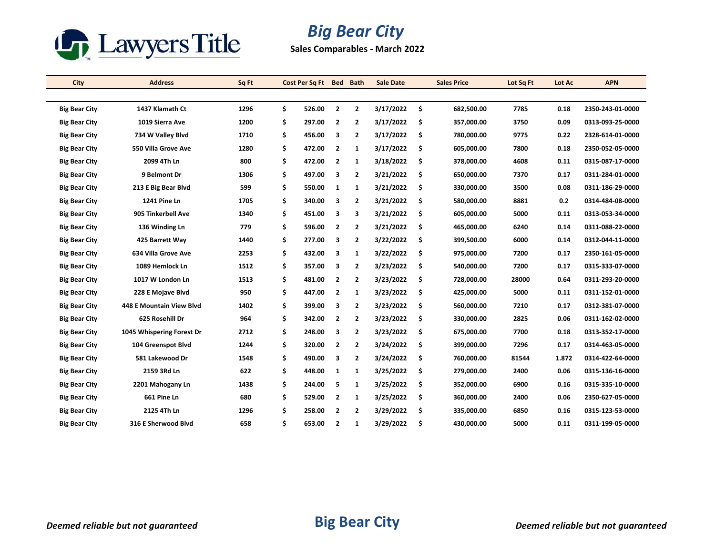

## *Big Bear City*

**Sales Comparables - March 2022**

| City                 | <b>Address</b>            | Sq Ft |    | Cost Per Sq Ft Bed Bath |                |                | <b>Sale Date</b> |      | <b>Sales Price</b> | Lot Sq Ft | Lot Ac | <b>APN</b>       |
|----------------------|---------------------------|-------|----|-------------------------|----------------|----------------|------------------|------|--------------------|-----------|--------|------------------|
|                      |                           |       |    |                         |                |                |                  |      |                    |           |        |                  |
| <b>Big Bear City</b> | 1437 Klamath Ct           | 1296  | \$ | 526.00                  | $\overline{2}$ | $\overline{2}$ | 3/17/2022        | - \$ | 682,500.00         | 7785      | 0.18   | 2350-243-01-0000 |
| <b>Big Bear City</b> | 1019 Sierra Ave           | 1200  | \$ | 297.00                  | $\overline{2}$ | $\overline{2}$ | 3/17/2022        | \$   | 357,000.00         | 3750      | 0.09   | 0313-093-25-0000 |
| <b>Big Bear City</b> | 734 W Valley Blvd         | 1710  | \$ | 456.00                  | 3              | $\overline{2}$ | 3/17/2022        | -\$  | 780,000.00         | 9775      | 0.22   | 2328-614-01-0000 |
| <b>Big Bear City</b> | 550 Villa Grove Ave       | 1280  | \$ | 472.00                  | 2              | 1              | 3/17/2022        | \$.  | 605,000.00         | 7800      | 0.18   | 2350-052-05-0000 |
| <b>Big Bear City</b> | 2099 4Th Ln               | 800   | \$ | 472.00                  | $\overline{2}$ | 1              | 3/18/2022        | -\$  | 378,000.00         | 4608      | 0.11   | 0315-087-17-0000 |
| <b>Big Bear City</b> | 9 Belmont Dr              | 1306  | \$ | 497.00                  | 3              | $\overline{2}$ | 3/21/2022        | -\$  | 650,000.00         | 7370      | 0.17   | 0311-284-01-0000 |
| <b>Big Bear City</b> | 213 E Big Bear Blvd       | 599   | \$ | 550.00                  | $\mathbf{1}$   | $\mathbf{1}$   | 3/21/2022        | -\$  | 330,000.00         | 3500      | 0.08   | 0311-186-29-0000 |
| <b>Big Bear City</b> | 1241 Pine Ln              | 1705  | \$ | 340.00                  | 3              | 2              | 3/21/2022        | -\$  | 580,000.00         | 8881      | 0.2    | 0314-484-08-0000 |
| <b>Big Bear City</b> | 905 Tinkerbell Ave        | 1340  | \$ | 451.00                  | 3              | 3              | 3/21/2022        | -\$  | 605,000.00         | 5000      | 0.11   | 0313-053-34-0000 |
| <b>Big Bear City</b> | 136 Winding Ln            | 779   | \$ | 596.00                  | $\overline{2}$ | $\mathbf{2}$   | 3/21/2022        | Ŝ.   | 465,000.00         | 6240      | 0.14   | 0311-088-22-0000 |
| <b>Big Bear City</b> | 425 Barrett Way           | 1440  | \$ | 277.00                  | 3              | $\mathbf{2}$   | 3/22/2022        | \$.  | 399,500.00         | 6000      | 0.14   | 0312-044-11-0000 |
| <b>Big Bear City</b> | 634 Villa Grove Ave       | 2253  | \$ | 432.00                  | з              | 1              | 3/22/2022        | \$.  | 975,000.00         | 7200      | 0.17   | 2350-161-05-0000 |
| <b>Big Bear City</b> | 1089 Hemlock Ln           | 1512  | \$ | 357.00                  | 3              | $\overline{2}$ | 3/23/2022        | -\$  | 540,000.00         | 7200      | 0.17   | 0315-333-07-0000 |
| <b>Big Bear City</b> | 1017 W London Ln          | 1513  | \$ | 481.00                  | $\overline{2}$ | $\overline{2}$ | 3/23/2022        | Ŝ.   | 728,000.00         | 28000     | 0.64   | 0311-293-20-0000 |
| <b>Big Bear City</b> | 228 E Mojave Blvd         | 950   | \$ | 447.00                  | $\overline{2}$ | $\mathbf{1}$   | 3/23/2022        | -\$  | 425,000.00         | 5000      | 0.11   | 0311-152-01-0000 |
| <b>Big Bear City</b> | 448 E Mountain View Blvd  | 1402  | \$ | 399.00                  | 3              | 2              | 3/23/2022        | \$   | 560,000.00         | 7210      | 0.17   | 0312-381-07-0000 |
| <b>Big Bear City</b> | 625 Rosehill Dr           | 964   | \$ | 342.00                  | $\overline{2}$ | $\overline{2}$ | 3/23/2022        | \$.  | 330,000.00         | 2825      | 0.06   | 0311-162-02-0000 |
| <b>Big Bear City</b> | 1045 Whispering Forest Dr | 2712  | \$ | 248.00                  | 3              | $\overline{2}$ | 3/23/2022        | Ŝ.   | 675,000.00         | 7700      | 0.18   | 0313-352-17-0000 |
| <b>Big Bear City</b> | 104 Greenspot Blvd        | 1244  | \$ | 320.00                  | $\overline{2}$ | $\mathbf{2}$   | 3/24/2022        | \$.  | 399,000.00         | 7296      | 0.17   | 0314-463-05-0000 |
| <b>Big Bear City</b> | 581 Lakewood Dr           | 1548  | \$ | 490.00                  | 3              | 2              | 3/24/2022        | \$   | 760,000.00         | 81544     | 1.872  | 0314-422-64-0000 |
| <b>Big Bear City</b> | 2159 3Rd Ln               | 622   | \$ | 448.00                  | $\mathbf{1}$   | 1              | 3/25/2022        | -\$  | 279,000.00         | 2400      | 0.06   | 0315-136-16-0000 |
| <b>Big Bear City</b> | 2201 Mahogany Ln          | 1438  | \$ | 244.00                  | 5              | $\mathbf{1}$   | 3/25/2022        | -\$  | 352,000.00         | 6900      | 0.16   | 0315-335-10-0000 |
| <b>Big Bear City</b> | 661 Pine Ln               | 680   | \$ | 529.00                  | $\overline{2}$ | 1              | 3/25/2022        | \$.  | 360,000.00         | 2400      | 0.06   | 2350-627-05-0000 |
| <b>Big Bear City</b> | 2125 4Th Ln               | 1296  | Ś. | 258.00                  | $\mathbf{2}$   | $\overline{2}$ | 3/29/2022        | \$.  | 335,000.00         | 6850      | 0.16   | 0315-123-53-0000 |
| <b>Big Bear City</b> | 316 E Sherwood Blvd       | 658   | \$ | 653.00                  | $\overline{2}$ | 1              | 3/29/2022        | Ŝ.   | 430.000.00         | 5000      | 0.11   | 0311-199-05-0000 |